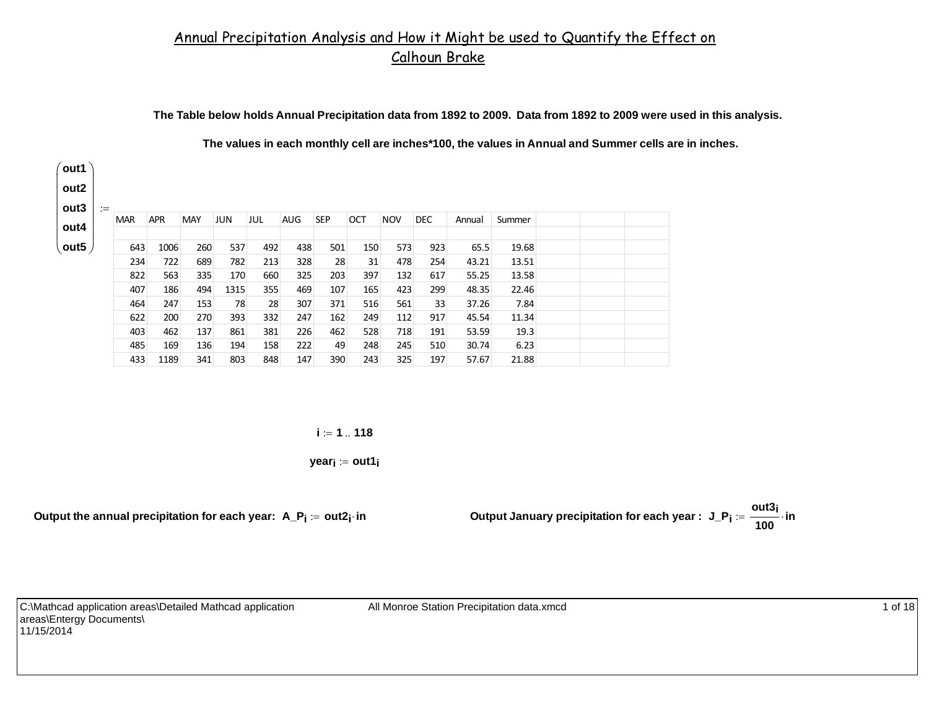# Annual Precipitation Analysis and How it Might be used to Quantify the Effect on Calhoun Brake

**The Table below holds Annual Precipitation data from 1892 to 2009. Data from 1892 to 2009 were used in this analysis.**

**The values in each monthly cell are inches\*100, the values in Annual and Summer cells are in inches.**

| $:=$       |            |            |      |     |            |            |            |            |            |        |        |  |
|------------|------------|------------|------|-----|------------|------------|------------|------------|------------|--------|--------|--|
| <b>MAR</b> | <b>APR</b> | <b>MAY</b> | JUN  | JUL | <b>AUG</b> | <b>SEP</b> | <b>OCT</b> | <b>NOV</b> | <b>DEC</b> | Annual | Summer |  |
|            |            |            |      |     |            |            |            |            |            |        |        |  |
| 643        | 1006       | 260        | 537  | 492 | 438        | 501        | 150        | 573        | 923        | 65.5   | 19.68  |  |
| 234        | 722        | 689        | 782  | 213 | 328        | 28         | 31         | 478        | 254        | 43.21  | 13.51  |  |
| 822        | 563        | 335        | 170  | 660 | 325        | 203        | 397        | 132        | 617        | 55.25  | 13.58  |  |
| 407        | 186        | 494        | 1315 | 355 | 469        | 107        | 165        | 423        | 299        | 48.35  | 22.46  |  |
| 464        | 247        | 153        | 78   | 28  | 307        | 371        | 516        | 561        | 33         | 37.26  | 7.84   |  |
| 622        | 200        | 270        | 393  | 332 | 247        | 162        | 249        | 112        | 917        | 45.54  | 11.34  |  |
| 403        | 462        | 137        | 861  | 381 | 226        | 462        | 528        | 718        | 191        | 53.59  | 19.3   |  |
| 485        | 169        | 136        | 194  | 158 | 222        | 49         | 248        | 245        | 510        | 30.74  | 6.23   |  |
| 433        | 1189       | 341        | 803  | 848 | 147        | 390        | 243        | 325        | 197        | 57.67  | 21.88  |  |

**i 1 118**

**yeari out1i**

Output the annual precipitation for each year:  $A_P$ <sub>i</sub> := out2<sub>i</sub>·in

 **out2i in Output January precipitation for each year : J\_Pi out3i 100 in**

C:\Mathcad application areas\Detailed Mathcad application areas\Entergy Documents\ 11/15/2014

All Monroe Station Precipitation data.xmcd 1 of 18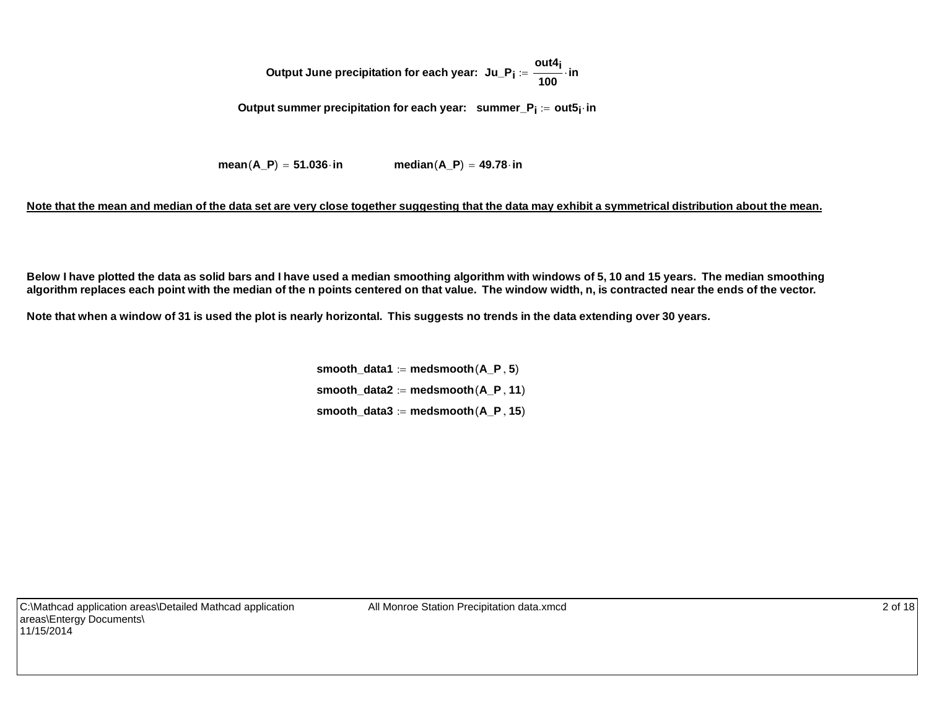Output June precipitation for each year: 
$$
Ju_P_i := \frac{out4_i}{100} \cdot in
$$

**Output summer precipitation for each year: summer\_Pi out5i in**

**mean** $(A \ P) = 51.036$  **in median** $(A \ P) = 49.78$  **in** 

### **Note that the mean and median of the data set are very close together suggesting that the data may exhibit a symmetrical distribution about the mean.**

**Below I have plotted the data as solid bars and I have used a median smoothing algorithm with windows of 5, 10 and 15 years. The median smoothing algorithm replaces each point with the median of the n points centered on that value. The window width, n, is contracted near the ends of the vector.**

**Note that when a window of 31 is used the plot is nearly horizontal. This suggests no trends in the data extending over 30 years.** 

**smooth** data1  $:=$  medsmooth $(A, P, 5)$  $smooth\_data2 := medsmooth(A_P, 11)$ smooth\_data3  $:=$  medsmooth $(A \ P, 15)$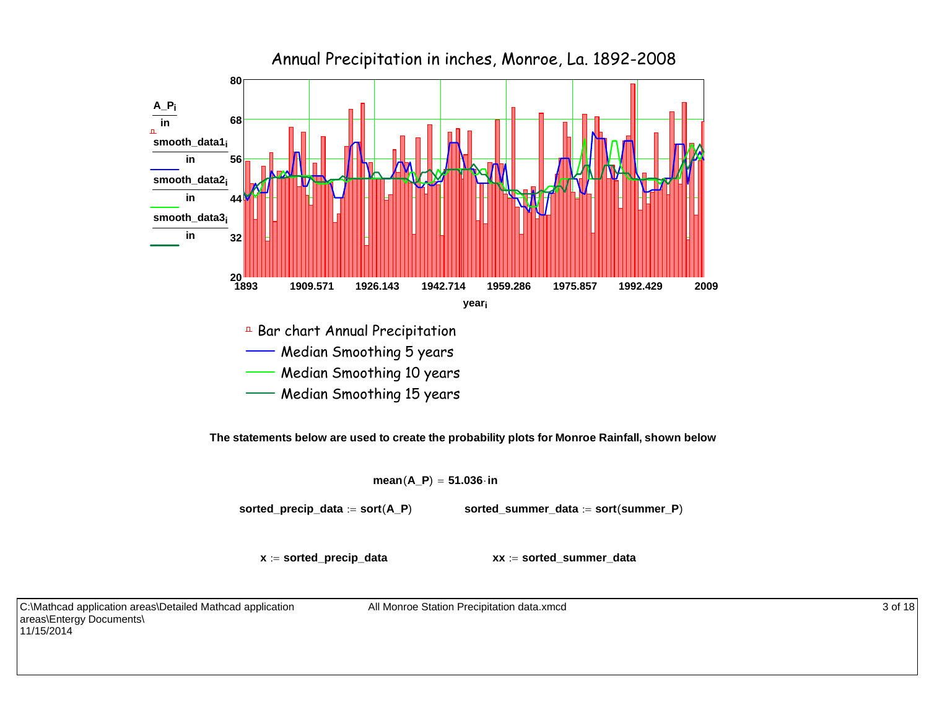

**The statements below are used to create the probability plots for Monroe Rainfall, shown below** 

 $mean(A_P) = 51.036$  $\cdot$  **in** 

**sorted\_precip\_data**  $:=$  **sort**(**A\_P**) **sorted\_summer\_data**  $:=$  sort(summer\_P)

**<sup>x</sup> sorted\_precip\_data xx sorted\_summer\_data**

C:\Mathcad application areas\Detailed Mathcad application areas\Entergy Documents\ 11/15/2014

All Monroe Station Precipitation data.xmcd 3 of 18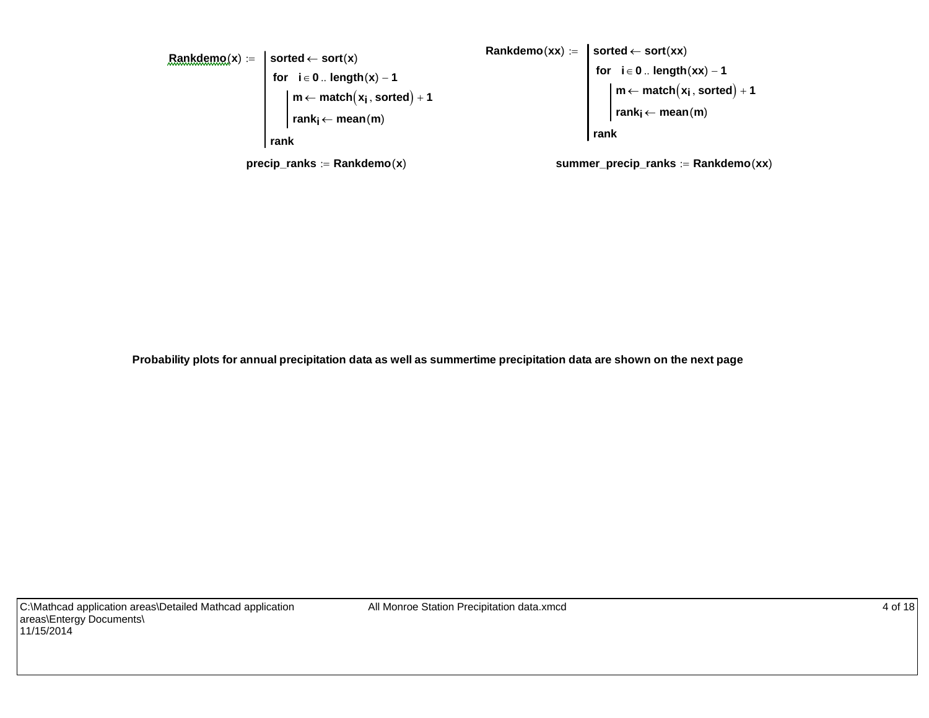

**Probability plots for annual precipitation data as well as summertime precipitation data are shown on the next page**

All Monroe Station Precipitation data.xmcd 4 of 18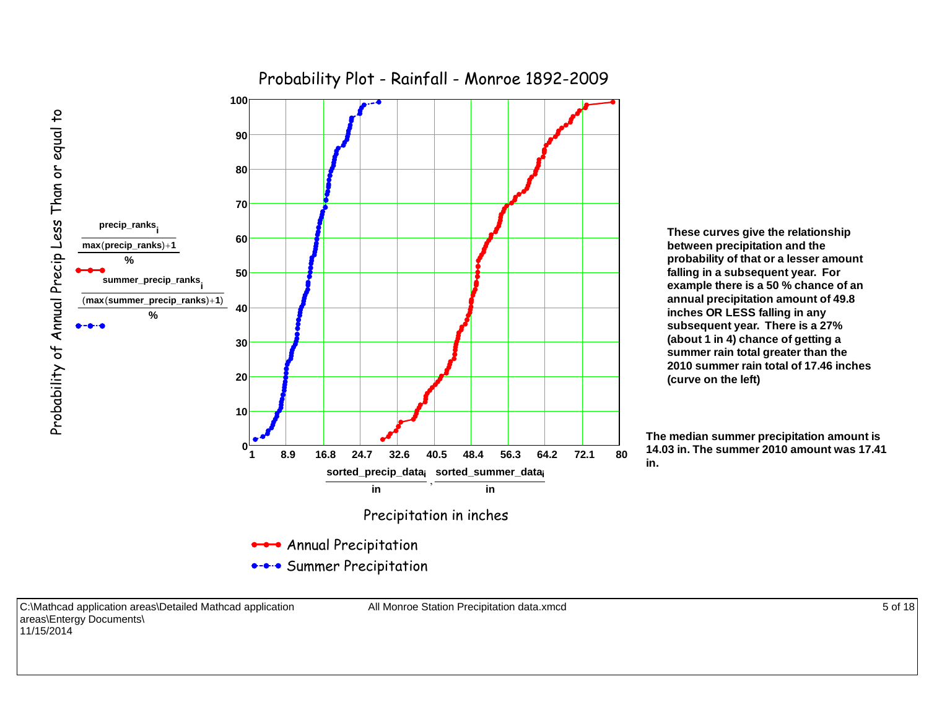

**These curves give the relationship between precipitation and the probability of that or a lesser amount falling in a subsequent year. For example there is a 50 % chance of an annual precipitation amount of 49.8 inches OR LESS falling in any subsequent year. There is a 27% (about 1 in 4) chance of getting a summer rain total greater than the 2010 summer rain total of 17.46 inches(curve on the left)** 

**The median summer precipitation amount is 14.03 in. The summer 2010 amount was 17.41in.**

C:\Mathcad application areas\Detailed Mathcad application areas\Entergy Documents\ 11/15/2014

All Monroe Station Precipitation data.xmcd 5 of 18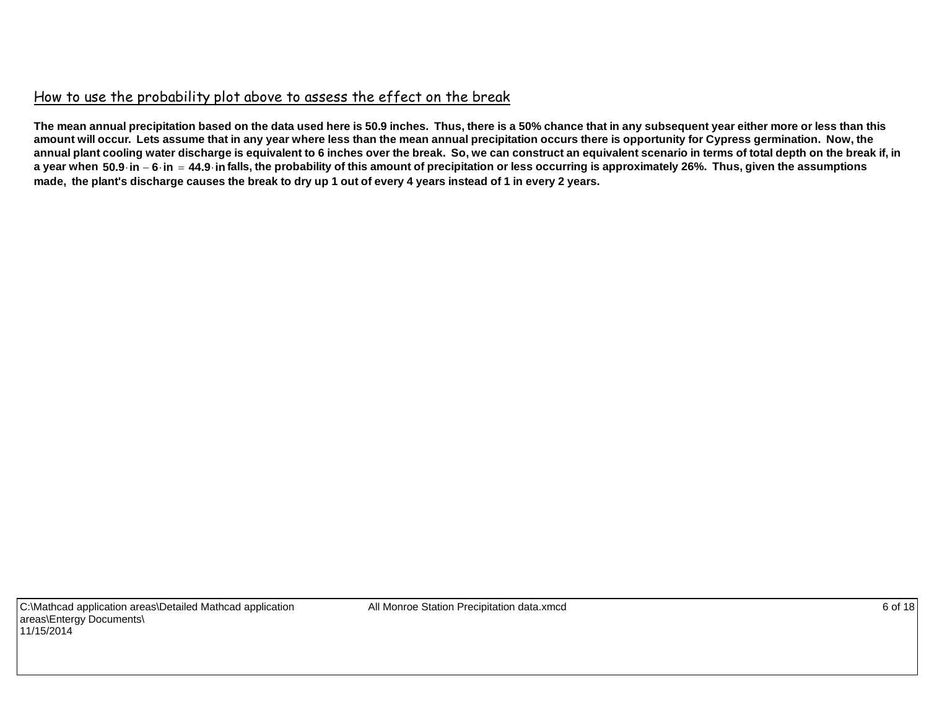## How to use the probability plot above to assess the effect on the break

**The mean annual precipitation based on the data used here is 50.9 inches. Thus, there is a 50% chance that in any subsequent year either more or less than this amount will occur. Lets assume that in any year where less than the mean annual precipitation occurs there is opportunity for Cypress germination. Now, the annual plant cooling water discharge is equivalent to 6 inches over the break. So, we can construct an equivalent scenario in terms of total depth on the break if, in** a year when 50.9 in - 6 in = 44.9 in falls, the probability of this amount of precipitation or less occurring is approximately 26%. Thus, given the assumptions **made, the plant's discharge causes the break to dry up 1 out of every 4 years instead of 1 in every 2 years.**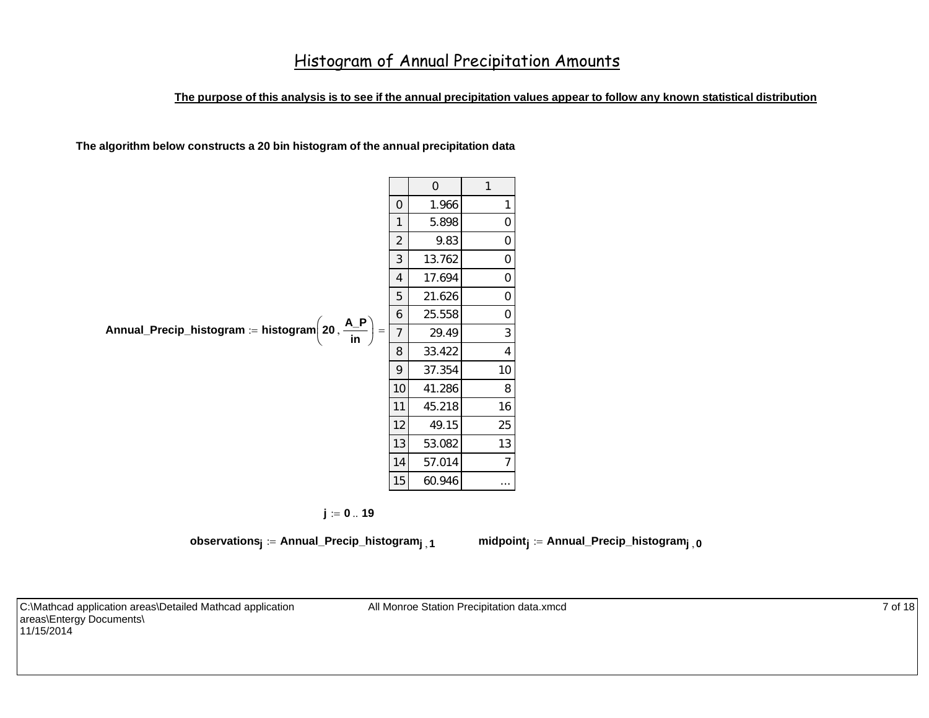### **The purpose of this analysis is to see if the annual precipitation values appear to follow any known statistical distribution**

**The algorithm below constructs a 20 bin histogram of the annual precipitation data**

|                                                                          |                | $\Omega$ | $\mathbf{1}$   |
|--------------------------------------------------------------------------|----------------|----------|----------------|
|                                                                          | $\overline{0}$ | 1.966    | 1              |
|                                                                          | 1              | 5.898    | $\Omega$       |
|                                                                          | $\overline{2}$ | 9.83     | 0              |
|                                                                          | 3              | 13.762   | 0              |
|                                                                          | 4              | 17.694   | $\Omega$       |
|                                                                          | 5              | 21.626   | 0              |
|                                                                          | 6              | 25.558   | $\Omega$       |
| Annual_Precip_histogram := histogram $\left(20, \frac{A_P}{in}\right)$ = | $\overline{1}$ | 29.49    | 3              |
|                                                                          | 8              | 33.422   | 4              |
|                                                                          | 9              | 37.354   | 10             |
|                                                                          | 10             | 41.286   | 8              |
|                                                                          | 11             | 45.218   | 16             |
|                                                                          | 12             | 49.15    | 25             |
|                                                                          | 13             | 53.082   | 13             |
|                                                                          | 14             | 57.014   | $\overline{7}$ |
|                                                                          | 15             | 60.946   | $\cdots$       |

 $j := 0..19$ 

**observations**<sub>**i**</sub> := Annual\_Precip\_histogram<sub>**i**</sub>**1 midpoint**<sub>**i**</sub> := Annual\_Precip\_histogram<sub>**i**</sub>, **0** 

C:\Mathcad application areas\Detailed Mathcad application areas\Entergy Documents\ 11/15/2014

All Monroe Station Precipitation data.xmcd 7 of 18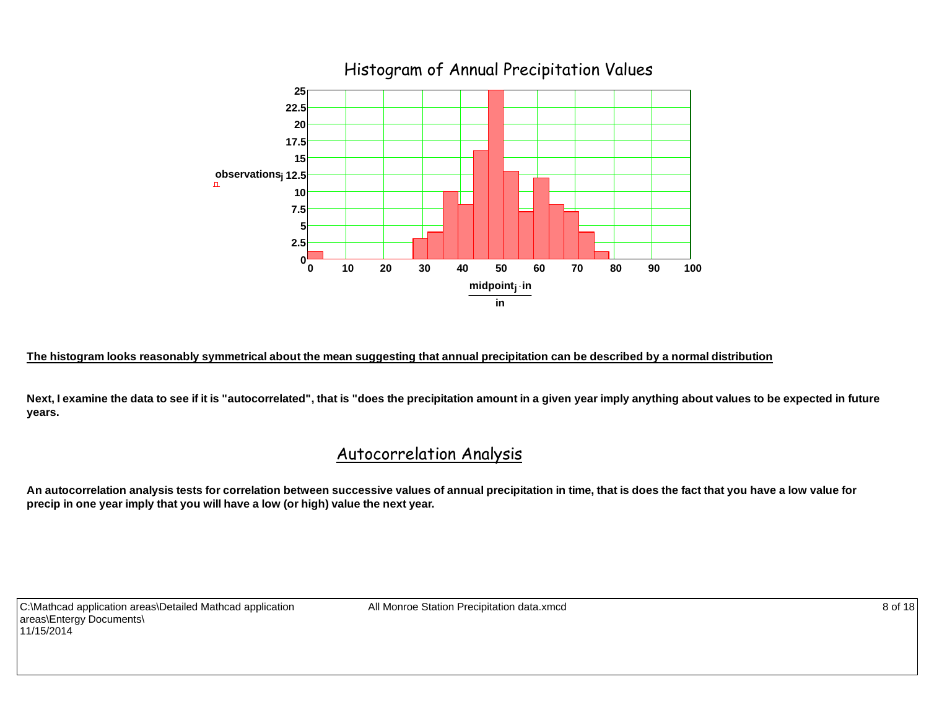

#### **The histogram looks reasonably symmetrical about the mean suggesting that annual precipitation can be described by a normal distribution**

Next, I examine the data to see if it is "autocorrelated", that is "does the precipitation amount in a given year imply anything about values to be expected in future **years.**

## Autocorrelation Analysis

**An autocorrelation analysis tests for correlation between successive values of annual precipitation in time, that is does the fact that you have a low value for precip in one year imply that you will have a low (or high) value the next year.**

C:\Mathcad application areas\Detailed Mathcad application areas\Entergy Documents\ 11/15/2014

All Monroe Station Precipitation data.xmcd 8 of 18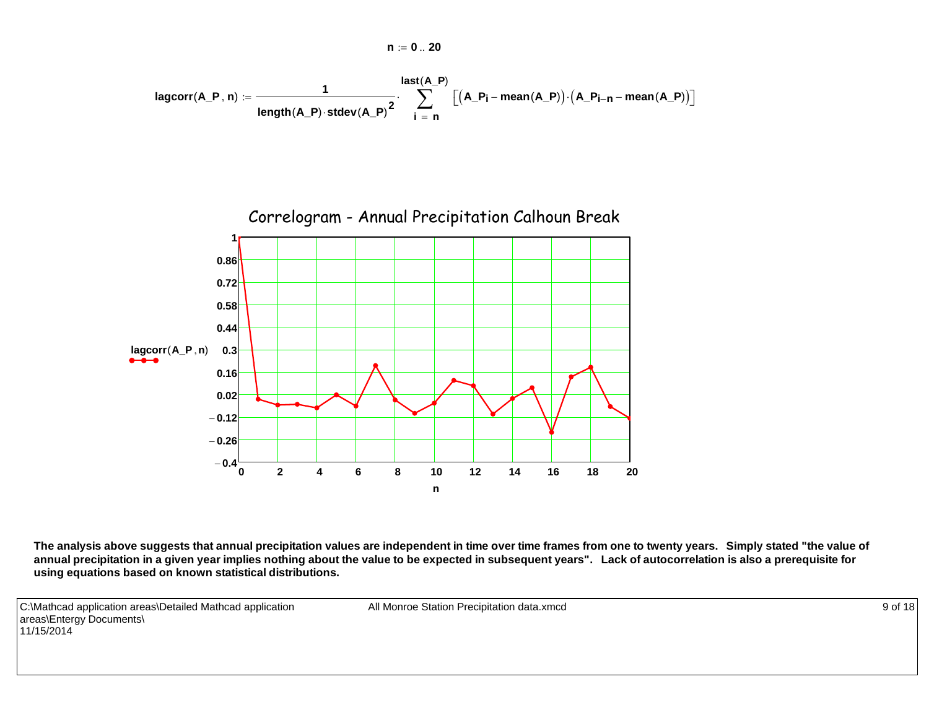$$
\text{lagcorr}(A\_P\,,n) := \frac{1}{\text{length}(A\_P)\cdot \text{stdev}(A\_P)^2} \cdot \sum_{i \text{ }= \text{ }n}^{\text{last}(A\_P)}\left[\left(A\_P_i - \text{mean}(A\_P)\right)\cdot \left(A\_P_{i-n} - \text{mean}(A\_P)\right)\right]
$$

**n 0 20**



**The analysis above suggests that annual precipitation values are independent in time over time frames from one to twenty years. Simply stated "the value of annual precipitation in a given year implies nothing about the value to be expected in subsequent years". Lack of autocorrelation is also a prerequisite for using equations based on known statistical distributions.**

C:\Mathcad application areas\Detailed Mathcad application areas\Entergy Documents\ 11/15/2014

All Monroe Station Precipitation data.xmcd 9 of 18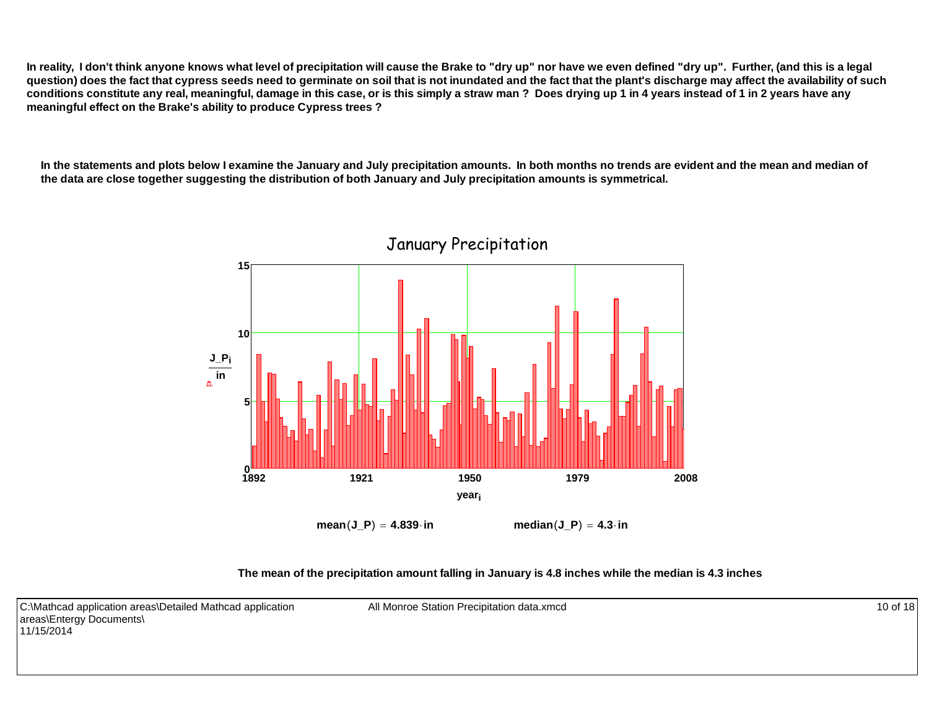**In reality, I don't think anyone knows what level of precipitation will cause the Brake to "dry up" nor have we even defined "dry up". Further, (and this is a legal question) does the fact that cypress seeds need to germinate on soil that is not inundated and the fact that the plant's discharge may affect the availability of such conditions constitute any real, meaningful, damage in this case, or is this simply a straw man ? Does drying up 1 in 4 years instead of 1 in 2 years have any meaningful effect on the Brake's ability to produce Cypress trees ?**

**In the statements and plots below I examine the January and July precipitation amounts. In both months no trends are evident and the mean and median of the data are close together suggesting the distribution of both January and July precipitation amounts is symmetrical.**



 $mean(J_P) = 4.839$  **in median** $(J_P) = 4.3$  **in** 

**The mean of the precipitation amount falling in January is 4.8 inches while the median is 4.3 inches**

All Monroe Station Precipitation data.xmcd 10 of 18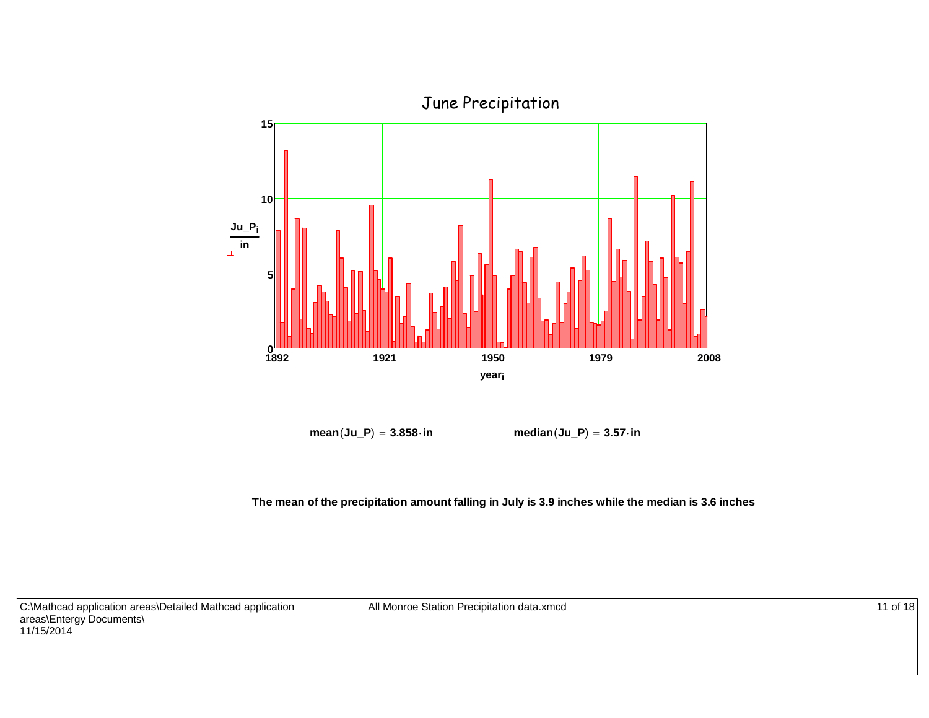

 $mean( Ju_P ) = 3.858 \cdot in$  **median** $(Iu_P ) = 3.57 \cdot in$ 

**The mean of the precipitation amount falling in July is 3.9 inches while the median is 3.6 inches**

C:\Mathcad application areas\Detailed Mathcad application areas\Entergy Documents\ 11/15/2014

All Monroe Station Precipitation data.xmcd 11 of 18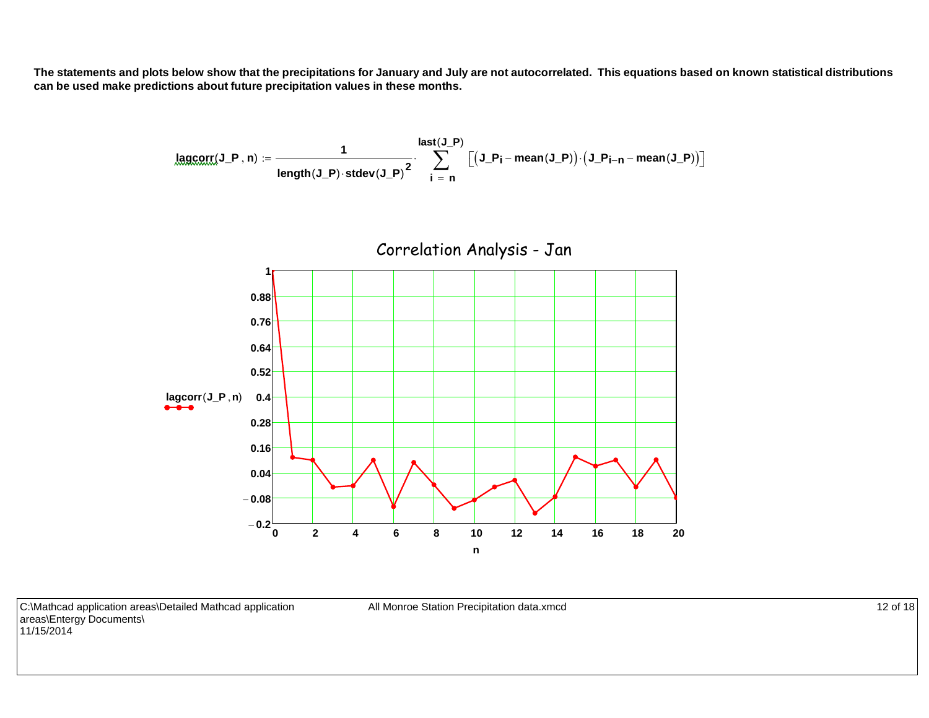**The statements and plots below show that the precipitations for January and July are not autocorrelated. This equations based on known statistical distributions can be used make predictions about future precipitation values in these months.**

$$
\underbrace{\textsf{lagcorr}}_{\textsf{length}}(\textsf{J\_P},\textsf{n})\textup{ := }\frac{\textsf{1}}{\textsf{length}(\textsf{J\_P})\cdot\textsf{stdev}(\textsf{J\_P})^2}\cdot\sum_{i\text{ }= \text{ }n}^{\textsf{last}(J\_P)}\textup{[}\big(\textsf{J\_P}_i-\textsf{mean}(\textsf{J\_P})\big)\cdot\big(\textsf{J\_P}_{i-n}-\textsf{mean}(\textsf{J\_P})\big)\textup{]}
$$



C:\Mathcad application areas\Detailed Mathcad application areas\Entergy Documents\ 11/15/2014

All Monroe Station Precipitation data.xmcd 12 of 18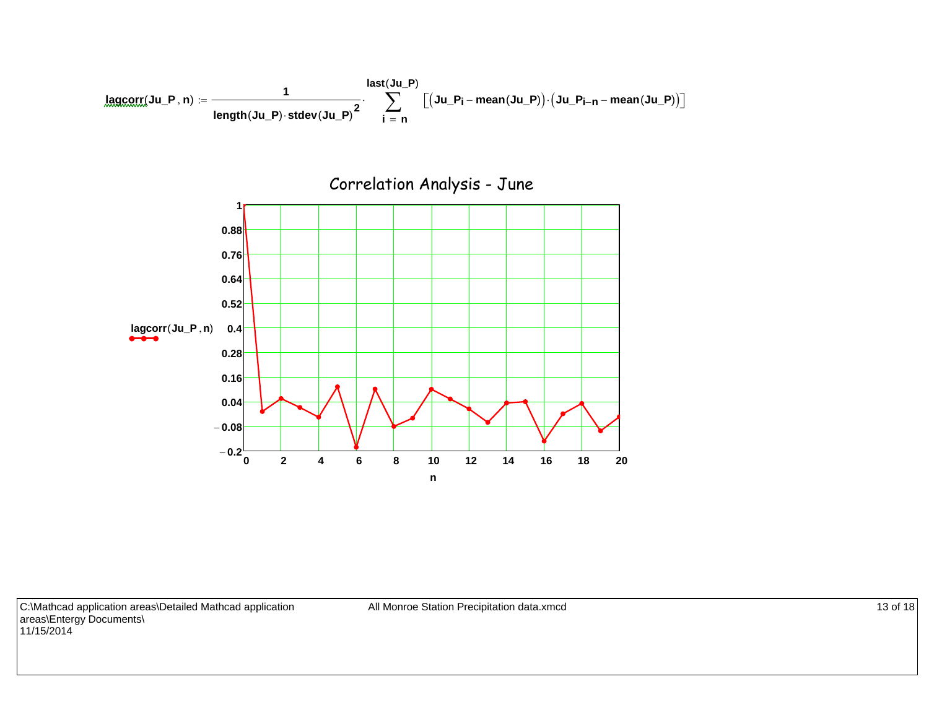$$
\underbrace{lagcorr( Ju_{\textcolor{red}{P}}, n)}_{\textcolor{red}{length( Ju_{\textcolor{red}{P}}) \cdot \textcolor{red}{stdev( Ju_{\textcolor{red}{P}})}^2} \cdot \sum_{i \textcolor{red}{=} n}^{\textcolor{red}{last(Ju_{\textcolor{red}{P}})}} \big[(Ju_{\textcolor{red}{P}}P_i - \textcolor{red}{mean(Ju_{\textcolor{red}{P}})}) \cdot (Ju_{\textcolor{red}{P}}P_{i - n} - \textcolor{red}{mean(Ju_{\textcolor{red}{P}})}) \big]
$$



C:\Mathcad application areas\Detailed Mathcad application areas\Entergy Documents\ 11/15/2014

All Monroe Station Precipitation data.xmcd 13 of 18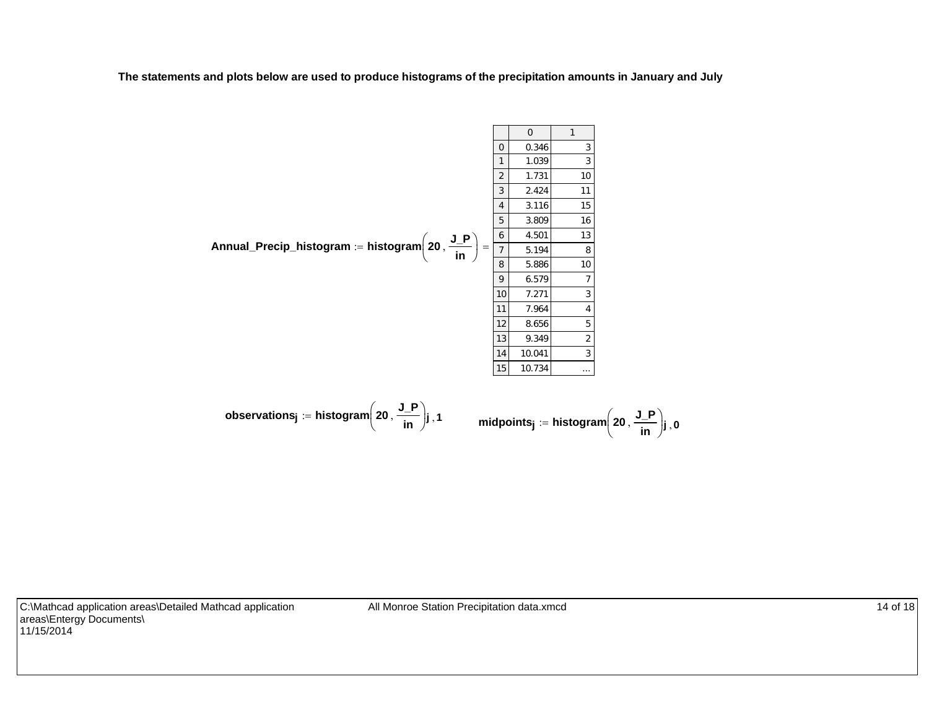**The statements and plots below are used to produce histograms of the precipitation amounts in January and July**

**Annual\_Precip\_histogram histogram <sup>20</sup> J\_Pin** 0 101234567891011121314150.346 31.039 31.731 102.424 113.116 153.809 164.501 135.194 85.886 106.579 77.271 37.964 48.656 59.349 210.041 310.734 ...

$$
\text{observations}_j \coloneqq \text{histogram}\left(20\,,\frac{\text{J\_P}}{\text{in}}\right)\text{j}, 1 \qquad \qquad \text{midpoints}_j \coloneqq \text{histogram}\left(20\,,\frac{\text{J\_P}}{\text{in}}\right)\text{j}, 0
$$

C:\Mathcad application areas\Detailed Mathcad application areas\Entergy Documents\ 11/15/2014

All Monroe Station Precipitation data.xmcd 14 of 18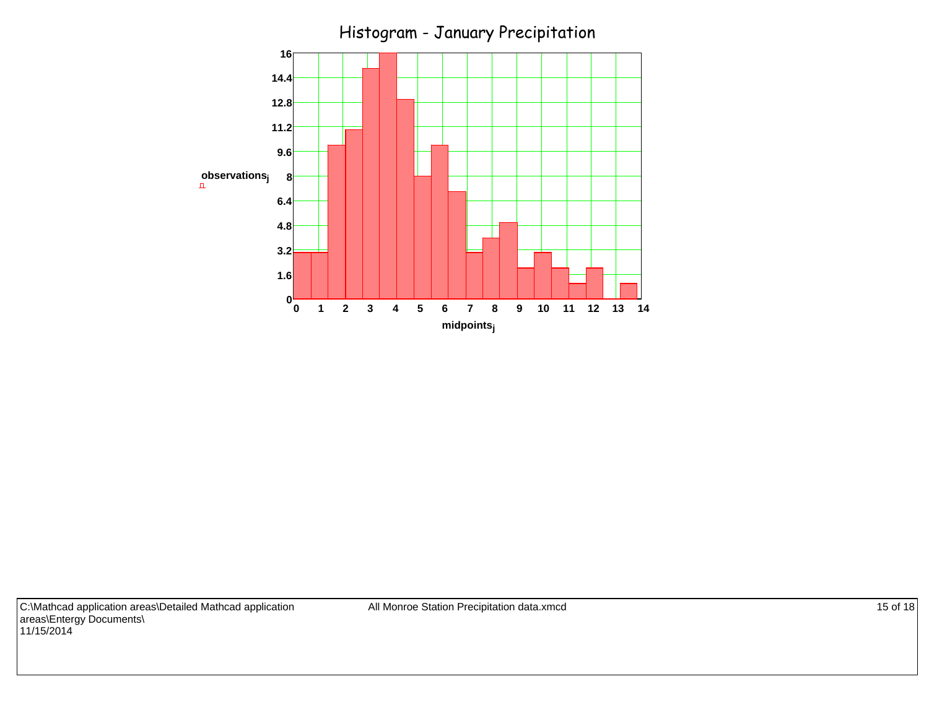

C:\Mathcad application areas\Detailed Mathcad application areas\Entergy Documents\ 11/15/2014

All Monroe Station Precipitation data.xmcd 15 of 18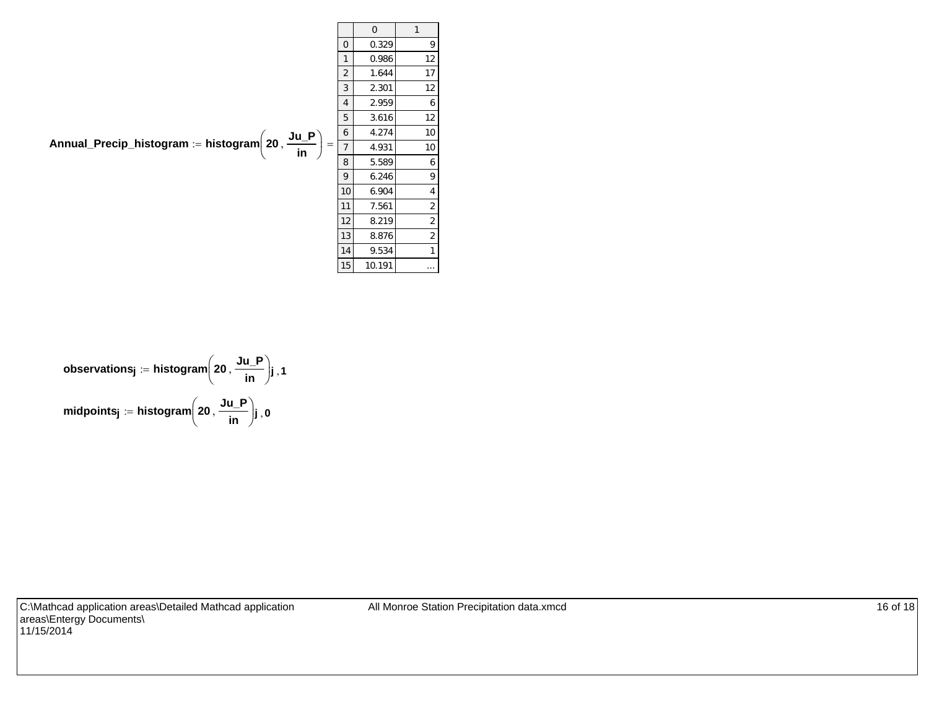**Annual\_Precip\_histogram histogram <sup>20</sup> Ju\_P in** 0 101234567891011121314150.329 9 0.986 12 1.644 17 2.301 12 2.959 6 3.616 12 4.274 10 4.931 10 5.589 6 6.246 9 6.904 4 7.561 2 8.219 2 8.876 2 9.534 1 10.191 ... 

$$
\text{observations}_j \coloneqq \text{histogram}\left(20\,, \frac{\text{Ju}_P}{\text{in}}\right)_{j\,,\, 1}
$$
\n
$$
\text{midpoints}_j \coloneqq \text{histogram}\left(20\,, \frac{\text{Ju}_P}{\text{in}}\right)_{j\,,\, 0}
$$

C:\Mathcad application areas\Detailed Mathcad application areas\Entergy Documents\ 11/15/2014

All Monroe Station Precipitation data.xmcd 16 of 18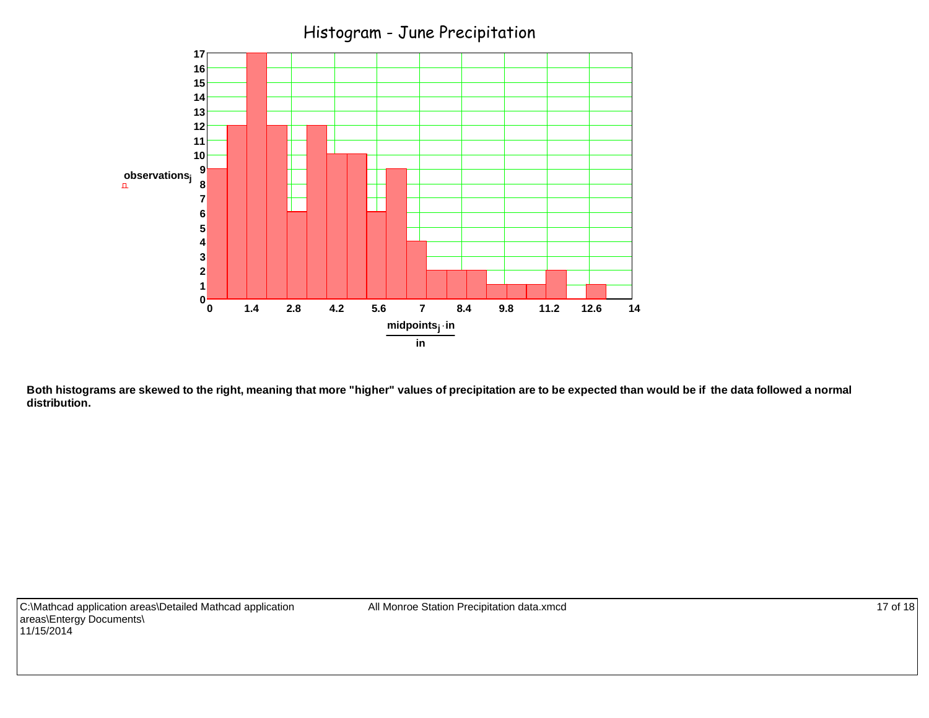

**Both histograms are skewed to the right, meaning that more "higher" values of precipitation are to be expected than would be if the data followed a normal distribution.**

All Monroe Station Precipitation data.xmcd 17 of 18